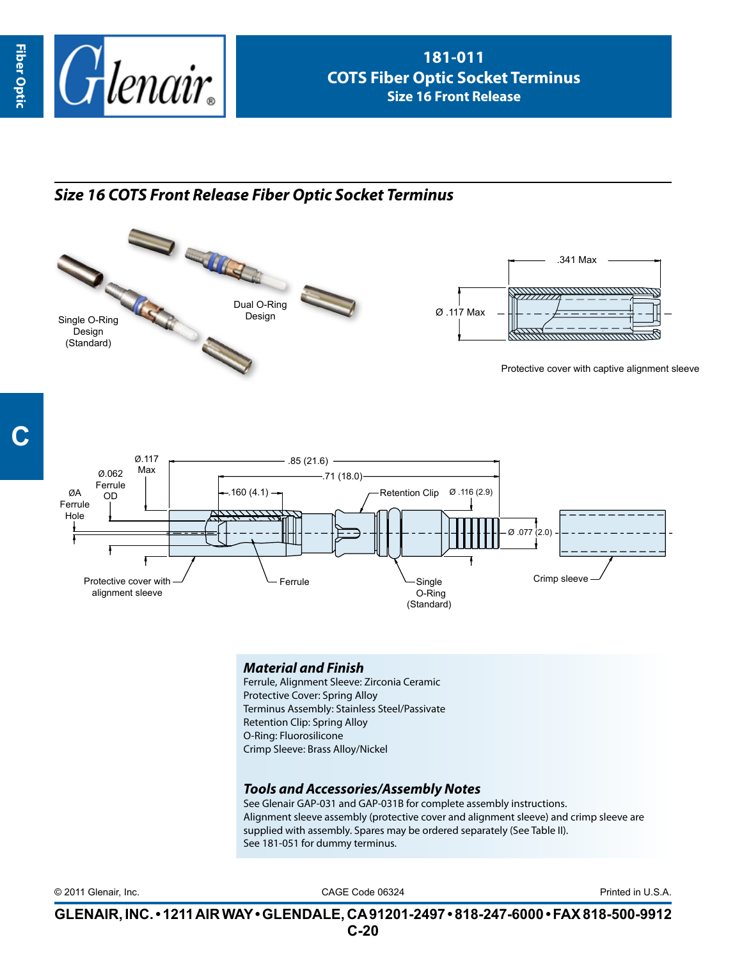

## *Size 16 COTS Front Release Fiber Optic Socket Terminus*





## *Material and Finish*

Ferrule, Alignment Sleeve: Zirconia Ceramic Protective Cover: Spring Alloy Terminus Assembly: Stainless Steel/Passivate Retention Clip: Spring Alloy O-Ring: Fluorosilicone Crimp Sleeve: Brass Alloy/Nickel

## *Tools and Accessories/Assembly Notes*

See Glenair GAP-031 and GAP-031B for complete assembly instructions. Alignment sleeve assembly (protective cover and alignment sleeve) and crimp sleeve are supplied with assembly. Spares may be ordered separately (See Table II). See 181-051 for dummy terminus.

CAGE Code 06324 © 2011 Glenair, Inc. Printed in U.S.A.

**GLENAIR, INC. • 1211 AIR WAY • GLENDALE, CA 91201-2497 • 818-247-6000 • FAX 818-500-9912 C-20**